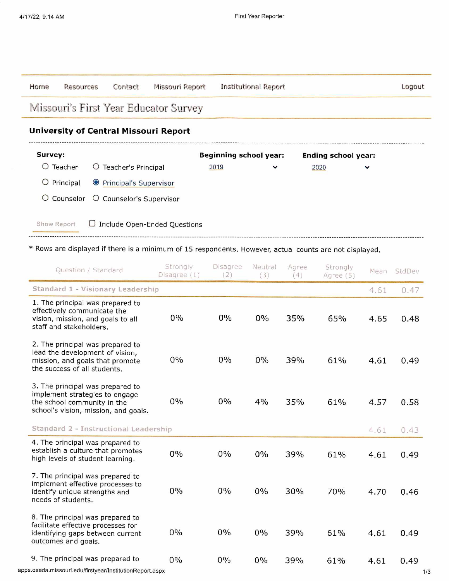| Horne                                 | Resources                                    | Contact                  | Missouri Report              | Institutional Report          |              |                            |              | Logout |  |  |
|---------------------------------------|----------------------------------------------|--------------------------|------------------------------|-------------------------------|--------------|----------------------------|--------------|--------|--|--|
| Missouri's First Year Educator Survey |                                              |                          |                              |                               |              |                            |              |        |  |  |
|                                       | <b>University of Central Missouri Report</b> |                          |                              |                               |              |                            |              |        |  |  |
| Survey:                               |                                              |                          |                              | <b>Beginning school year:</b> |              | <b>Ending school year:</b> |              |        |  |  |
| O                                     | Teacher                                      | Teacher's Principal<br>U |                              | 2019                          | $\checkmark$ | 2020                       | $\checkmark$ |        |  |  |
| $\circ$                               | Principal                                    | ● Principal's Supervisor |                              |                               |              |                            |              |        |  |  |
|                                       | O Counselor                                  | O Counselor's Supervisor |                              |                               |              |                            |              |        |  |  |
| Show Report                           |                                              |                          | Include Open-Ended Questions |                               |              |                            |              |        |  |  |

\* Rows are displayed if there is a minimum of 15 respondents. However, actual counts are not displayed.

| Question / Standard                                                                                                                       | Strongly<br>Disagree (1) | Disagree<br>(2) | Neutral<br>(3) | Agree<br>(4) | Strongly<br>Agree (5) | Mean | StdDev |
|-------------------------------------------------------------------------------------------------------------------------------------------|--------------------------|-----------------|----------------|--------------|-----------------------|------|--------|
| Standard 1 - Visionary Leadership                                                                                                         |                          |                 |                |              |                       | 4.61 | 0.47   |
| 1. The principal was prepared to<br>effectively communicate the<br>vision, mission, and goals to all<br>staff and stakeholders.           | $0\%$                    | $0\%$           | 0%             | 35%          | 65%                   | 4.65 | 0.48   |
| 2. The principal was prepared to<br>lead the development of vision,<br>mission, and goals that promote<br>the success of all students.    | $0\%$                    | $0\%$           | 0%             | 39%          | 61%                   | 4.61 | 0.49   |
| 3. The principal was prepared to<br>implement strategies to engage<br>the school community in the<br>school's vision, mission, and goals. | $0\%$                    | 0%              | 4%             | 35%          | 61%                   | 4.57 | 0.58   |
| Standard 2 - Instructional Leadership                                                                                                     |                          |                 |                |              |                       | 4.61 | 0.43   |
| 4. The principal was prepared to<br>establish a culture that promotes<br>high levels of student learning.                                 | 0%                       | 0%              | 0%             | 39%          | 61%                   | 4.61 | 0.49   |
| 7. The principal was prepared to<br>implement effective processes to<br>identify unique strengths and<br>needs of students.               | 0%                       | $0\%$           | 0%             | 30%          | 70%                   | 4.70 | 0.46   |
| 8. The principal was prepared to<br>facilitate effective processes for<br>identifying gaps between current<br>outcomes and goals.         | 0%                       | 0%              | 0%             | 39%          | 61%                   | 4.61 | 0.49   |
| 9. The principal was prepared to                                                                                                          | 0%                       | 0%              | 0%             | 39%          | 61%                   | 4.61 | 0.49   |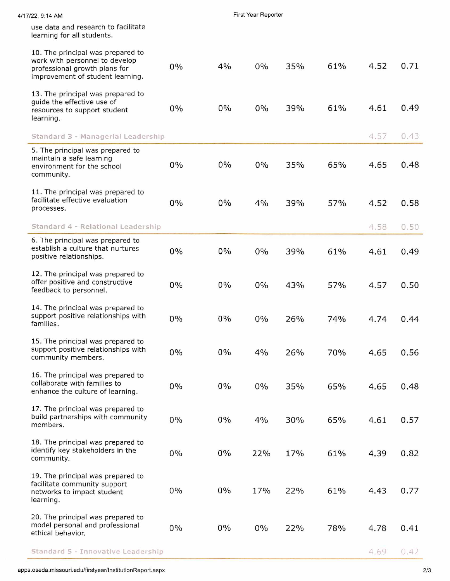| 4/17/22, 9:14 AM |                                                                                                                                          | First Year Reporter |       |       |     |     |      |      |
|------------------|------------------------------------------------------------------------------------------------------------------------------------------|---------------------|-------|-------|-----|-----|------|------|
|                  | use data and research to facilitate<br>learning for all students.                                                                        |                     |       |       |     |     |      |      |
|                  | 10. The principal was prepared to<br>work with personnel to develop<br>professional growth plans for<br>improvement of student learning. | 0%                  | 4%    | 0%    | 35% | 61% | 4.52 | 0.71 |
|                  | 13. The principal was prepared to<br>guide the effective use of<br>resources to support student<br>learning.                             | 0%                  | $0\%$ | 0%    | 39% | 61% | 4.61 | 0.49 |
|                  | Standard 3 - Managerial Leadership                                                                                                       |                     |       |       |     |     | 4.57 | 0.43 |
|                  | 5. The principal was prepared to<br>maintain a safe learning<br>environment for the school<br>community.                                 | 0%                  | $0\%$ | $0\%$ | 35% | 65% | 4.65 | 0.48 |
|                  | 11. The principal was prepared to<br>facilitate effective evaluation<br>processes.                                                       | $0\%$               | $0\%$ | 4%    | 39% | 57% | 4.52 | 0.58 |
|                  | Standard 4 - Relational Leadership                                                                                                       |                     |       |       |     |     | 4.58 | 0.50 |
|                  | 6. The principal was prepared to<br>establish a culture that nurtures<br>positive relationships.                                         | 0%                  | $0\%$ | $0\%$ | 39% | 61% | 4.61 | 0.49 |
|                  | 12. The principal was prepared to<br>offer positive and constructive<br>feedback to personnel.                                           | 0%                  | 0%    | 0%    | 43% | 57% | 4.57 | 0.50 |
|                  | 14. The principal was prepared to<br>support positive relationships with<br>families.                                                    | $0\%$               | 0%    | $0\%$ | 26% | 74% | 4.74 | 0.44 |
|                  | 15. The principal was prepared to<br>support positive relationships with<br>community members.                                           | $0\%$               | $0\%$ | 4%    | 26% | 70% | 4.65 | 0.56 |
|                  | 16. The principal was prepared to<br>collaborate with families to<br>enhance the culture of learning.                                    | $0\%$               | $0\%$ | 0%    | 35% | 65% | 4.65 | 0.48 |
|                  | 17. The principal was prepared to<br>build partnerships with community<br>members.                                                       | $0\%$               | $0\%$ | 4%    | 30% | 65% | 4.61 | 0.57 |
|                  | 18. The principal was prepared to<br>identify key stakeholders in the<br>community.                                                      | $0\%$               | $0\%$ | 22%   | 17% | 61% | 4.39 | 0.82 |
|                  | 19. The principal was prepared to<br>facilitate community support<br>networks to impact student<br>learning.                             | $0\%$               | $0\%$ | 17%   | 22% | 61% | 4.43 | 0.77 |
|                  | 20. The principal was prepared to<br>model personal and professional<br>ethical behavior.                                                | $0\%$               | 0%    | 0%    | 22% | 78% | 4.78 | 0.41 |
|                  | Standard 5 - Innovative Leadership                                                                                                       |                     |       |       |     |     | 4.69 | 0.42 |